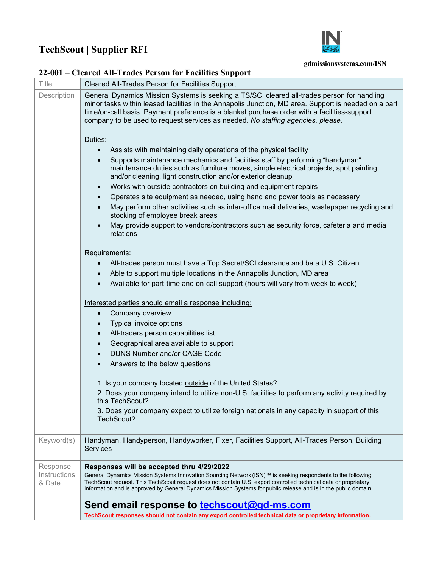## **TechScout | Supplier RFI**



## **gdmissionsystems.com/ISN**

## **22-001 – Cleared All-Trades Person for Facilities Support**

| <b>Title</b>           | <b>Cleared All-Trades Person for Facilities Support</b>                                                                                                                                                                                                                                                                                                                                |
|------------------------|----------------------------------------------------------------------------------------------------------------------------------------------------------------------------------------------------------------------------------------------------------------------------------------------------------------------------------------------------------------------------------------|
| Description            | General Dynamics Mission Systems is seeking a TS/SCI cleared all-trades person for handling<br>minor tasks within leased facilities in the Annapolis Junction, MD area. Support is needed on a part<br>time/on-call basis. Payment preference is a blanket purchase order with a facilities-support<br>company to be used to request services as needed. No staffing agencies, please. |
|                        | Duties:                                                                                                                                                                                                                                                                                                                                                                                |
|                        | Assists with maintaining daily operations of the physical facility                                                                                                                                                                                                                                                                                                                     |
|                        | Supports maintenance mechanics and facilities staff by performing "handyman"<br>maintenance duties such as furniture moves, simple electrical projects, spot painting<br>and/or cleaning, light construction and/or exterior cleanup                                                                                                                                                   |
|                        | Works with outside contractors on building and equipment repairs                                                                                                                                                                                                                                                                                                                       |
|                        | Operates site equipment as needed, using hand and power tools as necessary<br>$\bullet$                                                                                                                                                                                                                                                                                                |
|                        | May perform other activities such as inter-office mail deliveries, wastepaper recycling and<br>stocking of employee break areas                                                                                                                                                                                                                                                        |
|                        | May provide support to vendors/contractors such as security force, cafeteria and media<br>relations                                                                                                                                                                                                                                                                                    |
|                        | Requirements:                                                                                                                                                                                                                                                                                                                                                                          |
|                        | All-trades person must have a Top Secret/SCI clearance and be a U.S. Citizen                                                                                                                                                                                                                                                                                                           |
|                        | Able to support multiple locations in the Annapolis Junction, MD area                                                                                                                                                                                                                                                                                                                  |
|                        | Available for part-time and on-call support (hours will vary from week to week)                                                                                                                                                                                                                                                                                                        |
|                        |                                                                                                                                                                                                                                                                                                                                                                                        |
|                        | Interested parties should email a response including:                                                                                                                                                                                                                                                                                                                                  |
|                        | Company overview<br>$\bullet$                                                                                                                                                                                                                                                                                                                                                          |
|                        | Typical invoice options<br>All-traders person capabilities list<br>$\bullet$                                                                                                                                                                                                                                                                                                           |
|                        | Geographical area available to support<br>$\bullet$                                                                                                                                                                                                                                                                                                                                    |
|                        | <b>DUNS Number and/or CAGE Code</b><br>$\bullet$                                                                                                                                                                                                                                                                                                                                       |
|                        | Answers to the below questions<br>$\bullet$                                                                                                                                                                                                                                                                                                                                            |
|                        |                                                                                                                                                                                                                                                                                                                                                                                        |
|                        | 1. Is your company located outside of the United States?                                                                                                                                                                                                                                                                                                                               |
|                        | 2. Does your company intend to utilize non-U.S. facilities to perform any activity required by<br>this TechScout?                                                                                                                                                                                                                                                                      |
|                        | 3. Does your company expect to utilize foreign nationals in any capacity in support of this<br>TechScout?                                                                                                                                                                                                                                                                              |
| Keyword(s)             | Handyman, Handyperson, Handyworker, Fixer, Facilities Support, All-Trades Person, Building<br><b>Services</b>                                                                                                                                                                                                                                                                          |
| Response               | Responses will be accepted thru 4/29/2022                                                                                                                                                                                                                                                                                                                                              |
| Instructions<br>& Date | General Dynamics Mission Systems Innovation Sourcing Network (ISN)™ is seeking respondents to the following<br>TechScout request. This TechScout request does not contain U.S. export controlled technical data or proprietary<br>information and is approved by General Dynamics Mission Systems for public release and is in the public domain.                                      |
|                        | Send email response to <b>techscout@gd-ms.com</b>                                                                                                                                                                                                                                                                                                                                      |
|                        | TechScout responses should not contain any export controlled technical data or proprietary information.                                                                                                                                                                                                                                                                                |